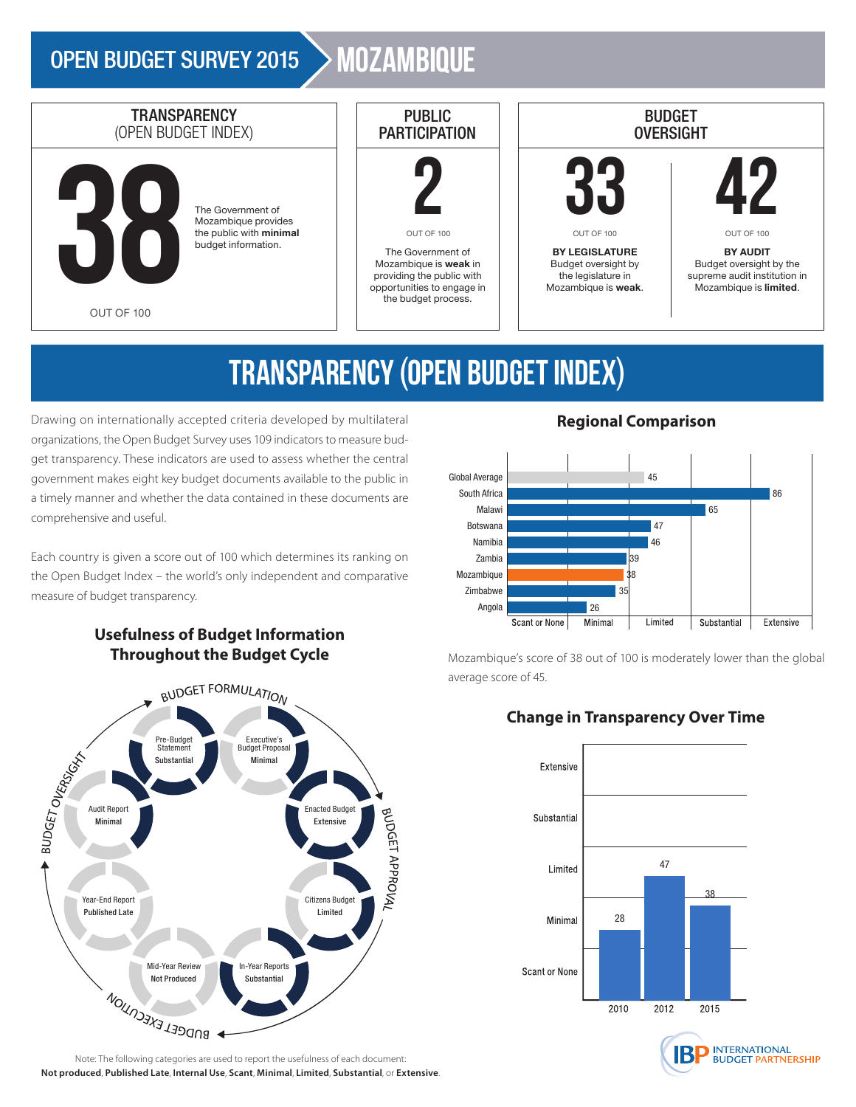### OPEN BUDGET SURVEY 2015 > MOZAMBIQUE



# TRANSPARENCY (OPEN BUDGET INDEX)

Drawing on internationally accepted criteria developed by multilateral organizations, the Open Budget Survey uses 109 indicators to measure budget transparency. These indicators are used to assess whether the central government makes eight key budget documents available to the public in a timely manner and whether the data contained in these documents are comprehensive and useful.

Each country is given a score out of 100 which determines its ranking on the Open Budget Index – the world's only independent and comparative measure of budget transparency.



**Usefulness of Budget Information Throughout the Budget Cycle**

**Not produced**, **Published Late**, **Internal Use**, **Scant**, **Minimal**, **Limited**, **Substantial**, or **Extensive**.

### **Regional Comparison**



Mozambique's score of 38 out of 100 is moderately lower than the global average score of 45.

### **Change in Transparency Over Time**



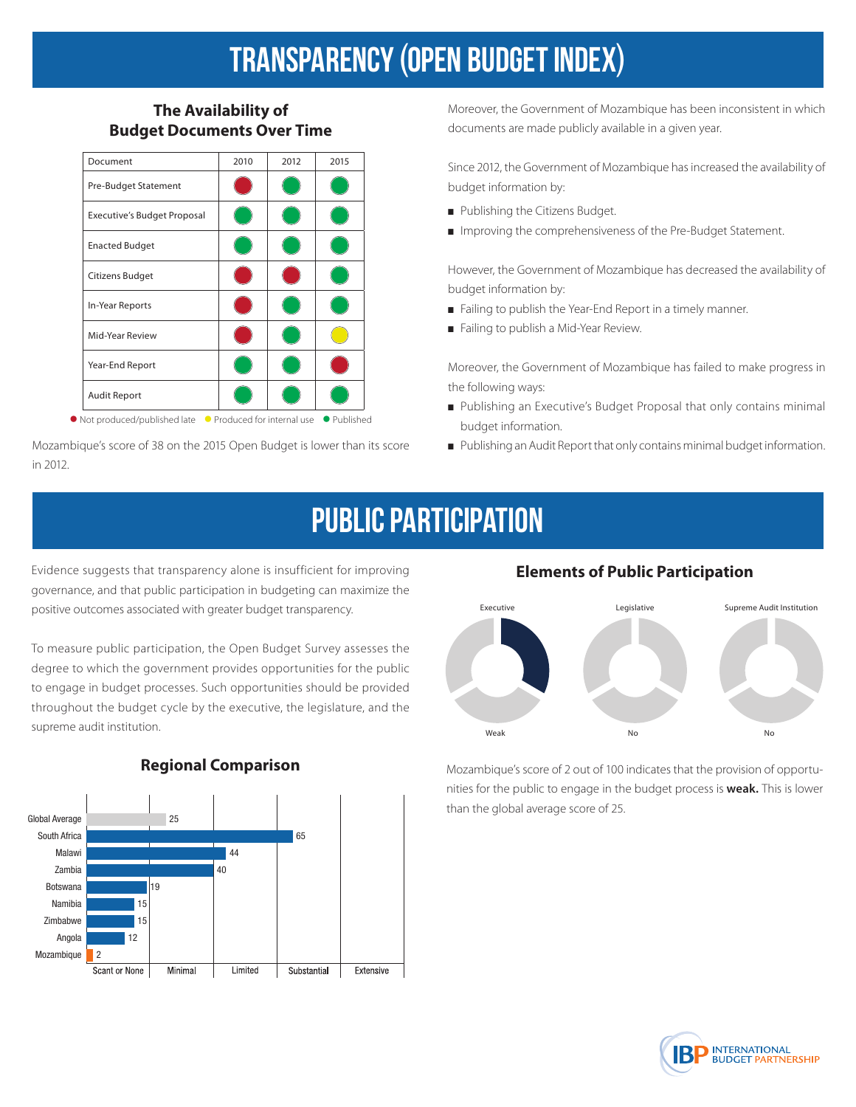## TRANSPARENCY (OPEN BUDGET INDEX)

### **The Availability of Budget Documents Over Time**



Mozambique's score of 38 on the 2015 Open Budget is lower than its score in 2012.

Moreover, the Government of Mozambique has been inconsistent in which documents are made publicly available in a given year.

Since 2012, the Government of Mozambique has increased the availability of budget information by:

- Publishing the Citizens Budget.
- Improving the comprehensiveness of the Pre-Budget Statement.

However, the Government of Mozambique has decreased the availability of budget information by:

- Failing to publish the Year-End Report in a timely manner.
- Failing to publish a Mid-Year Review.

Moreover, the Government of Mozambique has failed to make progress in the following ways:

- Publishing an Executive's Budget Proposal that only contains minimal budget information.
- Publishing an Audit Report that only contains minimal budget information.

### Public Participation

Evidence suggests that transparency alone is insufficient for improving governance, and that public participation in budgeting can maximize the positive outcomes associated with greater budget transparency.

To measure public participation, the Open Budget Survey assesses the degree to which the government provides opportunities for the public to engage in budget processes. Such opportunities should be provided throughout the budget cycle by the executive, the legislature, and the supreme audit institution.



### **Regional Comparison**

### **Elements of Public Participation**



Mozambique's score of 2 out of 100 indicates that the provision of opportunities for the public to engage in the budget process is **weak.** This is lower than the global average score of 25.

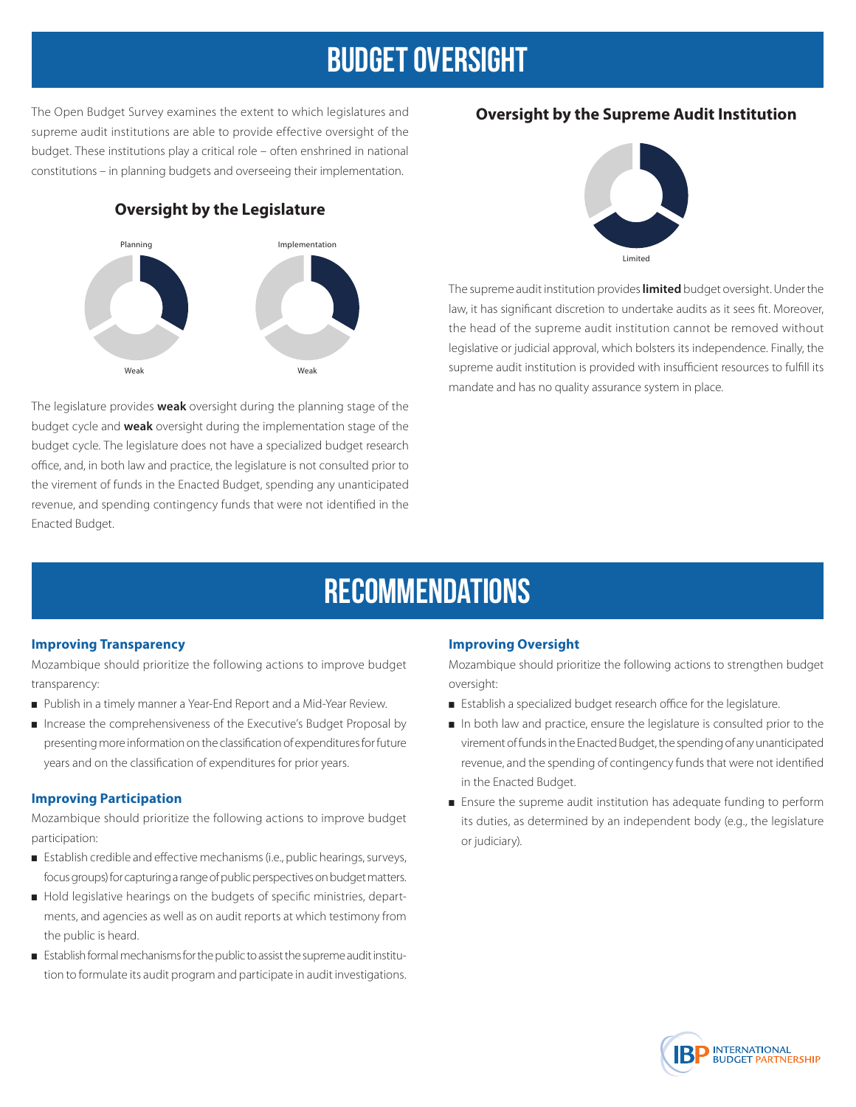### Budget Oversight

The Open Budget Survey examines the extent to which legislatures and supreme audit institutions are able to provide effective oversight of the budget. These institutions play a critical role – often enshrined in national constitutions – in planning budgets and overseeing their implementation.

### **Oversight by the Legislature**



The legislature provides **weak** oversight during the planning stage of the budget cycle and **weak** oversight during the implementation stage of the budget cycle. The legislature does not have a specialized budget research office, and, in both law and practice, the legislature is not consulted prior to the virement of funds in the Enacted Budget, spending any unanticipated revenue, and spending contingency funds that were not identified in the Enacted Budget.

### **Oversight by the Supreme Audit Institution**



The supreme audit institution provides **limited** budget oversight. Under the law, it has significant discretion to undertake audits as it sees fit. Moreover, the head of the supreme audit institution cannot be removed without legislative or judicial approval, which bolsters its independence. Finally, the supreme audit institution is provided with insufficient resources to fulfill its mandate and has no quality assurance system in place.

### **RECOMMENDATIONS**

#### **Improving Transparency**

Mozambique should prioritize the following actions to improve budget transparency:

- Publish in a timely manner a Year-End Report and a Mid-Year Review.
- Increase the comprehensiveness of the Executive's Budget Proposal by presenting more information on the classification of expenditures for future years and on the classification of expenditures for prior years.

#### **Improving Participation**

Mozambique should prioritize the following actions to improve budget participation:

- Establish credible and effective mechanisms (i.e., public hearings, surveys, focus groups) for capturing a range of public perspectives on budget matters.
- Hold legislative hearings on the budgets of specific ministries, departments, and agencies as well as on audit reports at which testimony from the public is heard.
- Establish formal mechanisms for the public to assist the supreme audit institution to formulate its audit program and participate in audit investigations.

#### **Improving Oversight**

Mozambique should prioritize the following actions to strengthen budget oversight:

- Establish a specialized budget research office for the legislature.
- In both law and practice, ensure the legislature is consulted prior to the virement of funds in the Enacted Budget, the spending of any unanticipated revenue, and the spending of contingency funds that were not identified in the Enacted Budget.
- Ensure the supreme audit institution has adequate funding to perform its duties, as determined by an independent body (e.g., the legislature or judiciary).